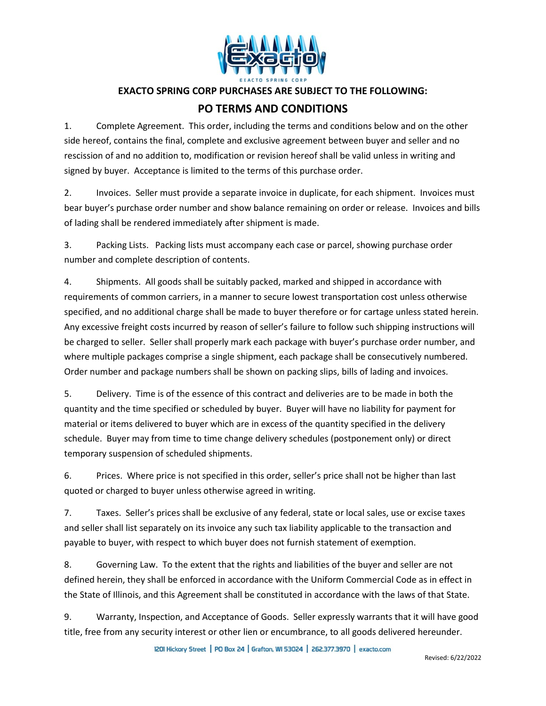

## **EXACTO SPRING CORP PURCHASES ARE SUBJECT TO THE FOLLOWING:**

## **PO TERMS AND CONDITIONS**

1. Complete Agreement. This order, including the terms and conditions below and on the other side hereof, contains the final, complete and exclusive agreement between buyer and seller and no rescission of and no addition to, modification or revision hereof shall be valid unless in writing and signed by buyer. Acceptance is limited to the terms of this purchase order.

2. Invoices. Seller must provide a separate invoice in duplicate, for each shipment. Invoices must bear buyer's purchase order number and show balance remaining on order or release. Invoices and bills of lading shall be rendered immediately after shipment is made.

3. Packing Lists. Packing lists must accompany each case or parcel, showing purchase order number and complete description of contents.

4. Shipments. All goods shall be suitably packed, marked and shipped in accordance with requirements of common carriers, in a manner to secure lowest transportation cost unless otherwise specified, and no additional charge shall be made to buyer therefore or for cartage unless stated herein. Any excessive freight costs incurred by reason of seller's failure to follow such shipping instructions will be charged to seller. Seller shall properly mark each package with buyer's purchase order number, and where multiple packages comprise a single shipment, each package shall be consecutively numbered. Order number and package numbers shall be shown on packing slips, bills of lading and invoices.

5. Delivery. Time is of the essence of this contract and deliveries are to be made in both the quantity and the time specified or scheduled by buyer. Buyer will have no liability for payment for material or items delivered to buyer which are in excess of the quantity specified in the delivery schedule. Buyer may from time to time change delivery schedules (postponement only) or direct temporary suspension of scheduled shipments.

6. Prices. Where price is not specified in this order, seller's price shall not be higher than last quoted or charged to buyer unless otherwise agreed in writing.

7. Taxes. Seller's prices shall be exclusive of any federal, state or local sales, use or excise taxes and seller shall list separately on its invoice any such tax liability applicable to the transaction and payable to buyer, with respect to which buyer does not furnish statement of exemption.

8. Governing Law. To the extent that the rights and liabilities of the buyer and seller are not defined herein, they shall be enforced in accordance with the Uniform Commercial Code as in effect in the State of Illinois, and this Agreement shall be constituted in accordance with the laws of that State.

9. Warranty, Inspection, and Acceptance of Goods. Seller expressly warrants that it will have good title, free from any security interest or other lien or encumbrance, to all goods delivered hereunder.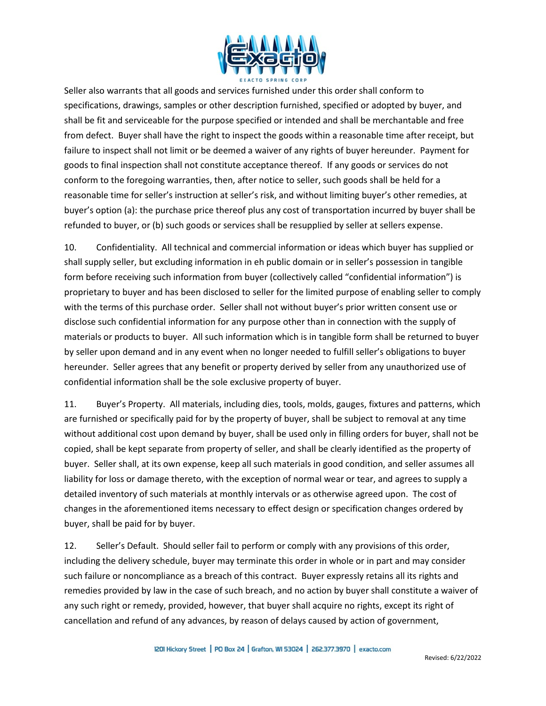

Seller also warrants that all goods and services furnished under this order shall conform to specifications, drawings, samples or other description furnished, specified or adopted by buyer, and shall be fit and serviceable for the purpose specified or intended and shall be merchantable and free from defect. Buyer shall have the right to inspect the goods within a reasonable time after receipt, but failure to inspect shall not limit or be deemed a waiver of any rights of buyer hereunder. Payment for goods to final inspection shall not constitute acceptance thereof. If any goods or services do not conform to the foregoing warranties, then, after notice to seller, such goods shall be held for a reasonable time for seller's instruction at seller's risk, and without limiting buyer's other remedies, at buyer's option (a): the purchase price thereof plus any cost of transportation incurred by buyer shall be refunded to buyer, or (b) such goods or services shall be resupplied by seller at sellers expense.

10. Confidentiality. All technical and commercial information or ideas which buyer has supplied or shall supply seller, but excluding information in eh public domain or in seller's possession in tangible form before receiving such information from buyer (collectively called "confidential information") is proprietary to buyer and has been disclosed to seller for the limited purpose of enabling seller to comply with the terms of this purchase order. Seller shall not without buyer's prior written consent use or disclose such confidential information for any purpose other than in connection with the supply of materials or products to buyer. All such information which is in tangible form shall be returned to buyer by seller upon demand and in any event when no longer needed to fulfill seller's obligations to buyer hereunder. Seller agrees that any benefit or property derived by seller from any unauthorized use of confidential information shall be the sole exclusive property of buyer.

11. Buyer's Property. All materials, including dies, tools, molds, gauges, fixtures and patterns, which are furnished or specifically paid for by the property of buyer, shall be subject to removal at any time without additional cost upon demand by buyer, shall be used only in filling orders for buyer, shall not be copied, shall be kept separate from property of seller, and shall be clearly identified as the property of buyer. Seller shall, at its own expense, keep all such materials in good condition, and seller assumes all liability for loss or damage thereto, with the exception of normal wear or tear, and agrees to supply a detailed inventory of such materials at monthly intervals or as otherwise agreed upon. The cost of changes in the aforementioned items necessary to effect design or specification changes ordered by buyer, shall be paid for by buyer.

12. Seller's Default. Should seller fail to perform or comply with any provisions of this order, including the delivery schedule, buyer may terminate this order in whole or in part and may consider such failure or noncompliance as a breach of this contract. Buyer expressly retains all its rights and remedies provided by law in the case of such breach, and no action by buyer shall constitute a waiver of any such right or remedy, provided, however, that buyer shall acquire no rights, except its right of cancellation and refund of any advances, by reason of delays caused by action of government,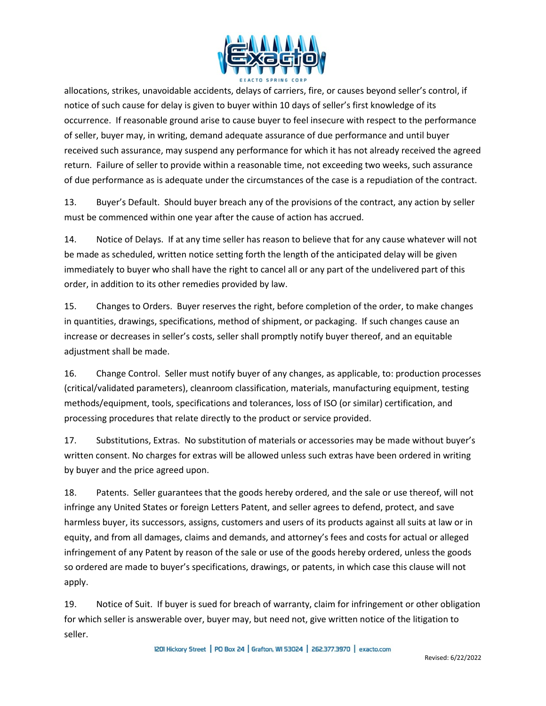

allocations, strikes, unavoidable accidents, delays of carriers, fire, or causes beyond seller's control, if notice of such cause for delay is given to buyer within 10 days of seller's first knowledge of its occurrence. If reasonable ground arise to cause buyer to feel insecure with respect to the performance of seller, buyer may, in writing, demand adequate assurance of due performance and until buyer received such assurance, may suspend any performance for which it has not already received the agreed return. Failure of seller to provide within a reasonable time, not exceeding two weeks, such assurance of due performance as is adequate under the circumstances of the case is a repudiation of the contract.

13. Buyer's Default. Should buyer breach any of the provisions of the contract, any action by seller must be commenced within one year after the cause of action has accrued.

14. Notice of Delays. If at any time seller has reason to believe that for any cause whatever will not be made as scheduled, written notice setting forth the length of the anticipated delay will be given immediately to buyer who shall have the right to cancel all or any part of the undelivered part of this order, in addition to its other remedies provided by law.

15. Changes to Orders. Buyer reserves the right, before completion of the order, to make changes in quantities, drawings, specifications, method of shipment, or packaging. If such changes cause an increase or decreases in seller's costs, seller shall promptly notify buyer thereof, and an equitable adjustment shall be made.

16. Change Control. Seller must notify buyer of any changes, as applicable, to: production processes (critical/validated parameters), cleanroom classification, materials, manufacturing equipment, testing methods/equipment, tools, specifications and tolerances, loss of ISO (or similar) certification, and processing procedures that relate directly to the product or service provided.

17. Substitutions, Extras. No substitution of materials or accessories may be made without buyer's written consent. No charges for extras will be allowed unless such extras have been ordered in writing by buyer and the price agreed upon.

18. Patents. Seller guarantees that the goods hereby ordered, and the sale or use thereof, will not infringe any United States or foreign Letters Patent, and seller agrees to defend, protect, and save harmless buyer, its successors, assigns, customers and users of its products against all suits at law or in equity, and from all damages, claims and demands, and attorney's fees and costs for actual or alleged infringement of any Patent by reason of the sale or use of the goods hereby ordered, unless the goods so ordered are made to buyer's specifications, drawings, or patents, in which case this clause will not apply.

19. Notice of Suit. If buyer is sued for breach of warranty, claim for infringement or other obligation for which seller is answerable over, buyer may, but need not, give written notice of the litigation to seller.